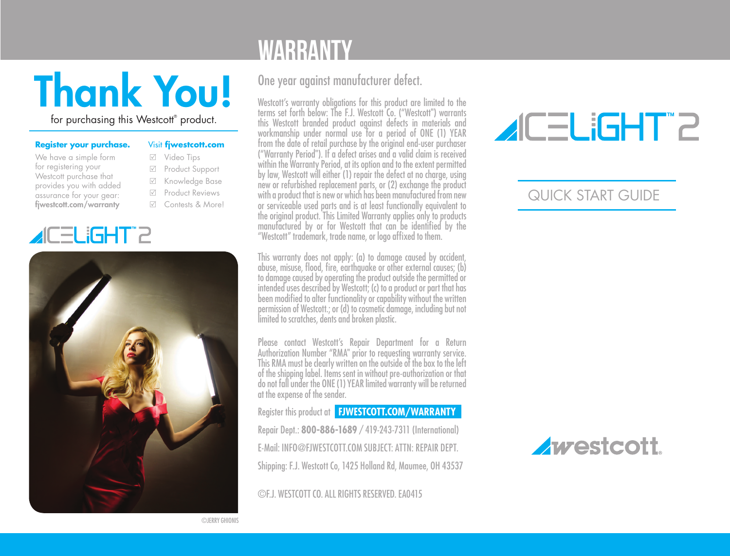# Thank You!

for purchasing this Westcott® product.

| Register your purchase. |  |  |
|-------------------------|--|--|
|-------------------------|--|--|

| We have a simple form    |
|--------------------------|
| for registering your     |
| Westcott purchase that   |
| provides you with added  |
| assurance for your gear: |
| fiwestcott.com/warranty  |



- Video Tips
- Product Support
- Knowledge Base
- Product Reviews
- Contests & More!





## WARRANTY

#### One year against manufacturer defect.

Westcott's warranty obligations for this product are limited to the terms set forth below: The F.J. Westcott Co. ("Westcott") warrants this Westcott branded product against defects in materials and workmanship under normal use for a period of ONE (1) YEAR from the date of retail purchase by the original end-user purchaser ("Warranty Period"). If a defect arises and a valid claim is received within the Warranty Period, at its option and to the extent permitted by law, Westcott will either (1) repair the defect at no charge, using new or refurbished replacement parts, or (2) exchange the product with a product that is new or which has been manufactured from new or serviceable used parts and is at least functionally equivalent to the original product. This Limited Warranty applies only to products manufactured by or for Westcott that can be identified by the "Westcott" trademark, trade name, or logo affixed to them.

This warranty does not apply: (a) to damage caused by accident, abuse, misuse, flood, fire, earthquake or other external causes; (b) to damage caused by operating the product outside the permitted or intended uses described by Westcott; (c) to a product or part that has been modified to alter functionality or capability without the written permission of Westcott.; or (d) to cosmetic damage, including but not limited to scratches, dents and broken plastic.

Please contact Westcott's Repair Department for a Return Authorization Number "RMA" prior to requesting warranty service. This RMA must be clearly written on the outside of the box to the left of the shipping label. Items sent in without pre-authorization or that do not fall under the ONE (1) YEAR limited warranty will be returned at the expense of the sender.

Register this product at **FJWESTCOTT.COM/WARRANTY** Repair Dept.: **800-886-1689** / 419-243-7311 (International) E-Mail: INFO@FJWESTCOTT.COM SUBJECT: ATTN: REPAIR DEPT. Shipping: F.J. Westcott Co, 1425 Holland Rd, Maumee, OH 43537

©F.J. WESTCOTT CO. ALL RIGHTS RESERVED. EA0415

## **ACELIGHT"2**

### QUICK START GUIDE